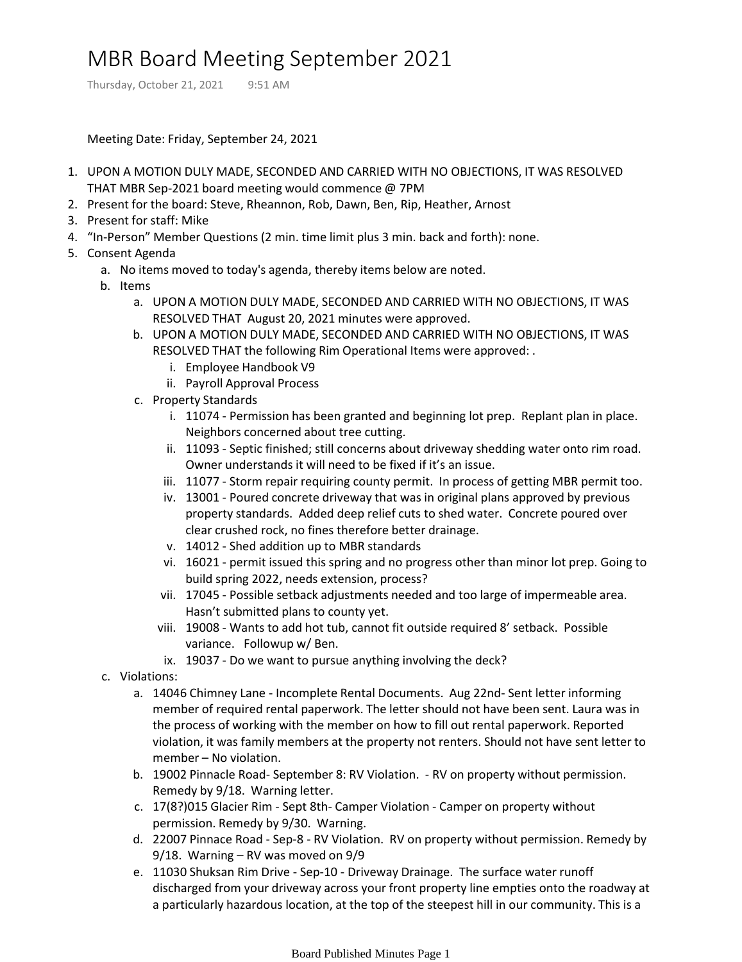## MBR Board Meeting September 2021

Thursday, October 21, 2021 9:51 AM

Meeting Date: Friday, September 24, 2021

- 1. UPON A MOTION DULY MADE, SECONDED AND CARRIED WITH NO OBJECTIONS, IT WAS RESOLVED THAT MBR Sep-2021 board meeting would commence @ 7PM
- 2. Present for the board: Steve, Rheannon, Rob, Dawn, Ben, Rip, Heather, Arnost
- 3. Present for staff: Mike
- 4. "In-Person" Member Questions (2 min. time limit plus 3 min. back and forth): none.
- 5. Consent Agenda
	- a. No items moved to today's agenda, thereby items below are noted.
	- b. Items
		- UPON A MOTION DULY MADE, SECONDED AND CARRIED WITH NO OBJECTIONS, IT WAS a. RESOLVED THAT August 20, 2021 minutes were approved.
		- UPON A MOTION DULY MADE, SECONDED AND CARRIED WITH NO OBJECTIONS, IT WAS b. RESOLVED THAT the following Rim Operational Items were approved: .
			- i. Employee Handbook V9
			- ii. Payroll Approval Process
		- c. Property Standards
			- i. 11074 Permission has been granted and beginning lot prep. Replant plan in place. Neighbors concerned about tree cutting.
			- ii. 11093 Septic finished; still concerns about driveway shedding water onto rim road. Owner understands it will need to be fixed if it's an issue.
			- iii. 11077 Storm repair requiring county permit. In process of getting MBR permit too.
			- iv. 13001 Poured concrete driveway that was in original plans approved by previous property standards. Added deep relief cuts to shed water. Concrete poured over clear crushed rock, no fines therefore better drainage.
			- v. 14012 Shed addition up to MBR standards
			- vi. 16021 permit issued this spring and no progress other than minor lot prep. Going to build spring 2022, needs extension, process?
			- vii. 17045 Possible setback adjustments needed and too large of impermeable area. Hasn't submitted plans to county yet.
			- viii. 19008 Wants to add hot tub, cannot fit outside required 8' setback. Possible variance. Followup w/ Ben.
			- ix. 19037 Do we want to pursue anything involving the deck?
	- c. Violations:
		- a. 14046 Chimney Lane Incomplete Rental Documents. Aug 22nd- Sent letter informing member of required rental paperwork. The letter should not have been sent. Laura was in the process of working with the member on how to fill out rental paperwork. Reported violation, it was family members at the property not renters. Should not have sent letter to member – No violation.
		- b. 19002 Pinnacle Road- September 8: RV Violation. RV on property without permission. Remedy by 9/18. Warning letter.
		- 17(8?)015 Glacier Rim Sept 8th- Camper Violation Camper on property without c. permission. Remedy by 9/30. Warning.
		- d. 22007 Pinnace Road Sep-8 RV Violation. RV on property without permission. Remedy by 9/18. Warning – RV was moved on 9/9
		- e. 11030 Shuksan Rim Drive Sep-10 Driveway Drainage. The surface water runoff discharged from your driveway across your front property line empties onto the roadway at a particularly hazardous location, at the top of the steepest hill in our community. This is a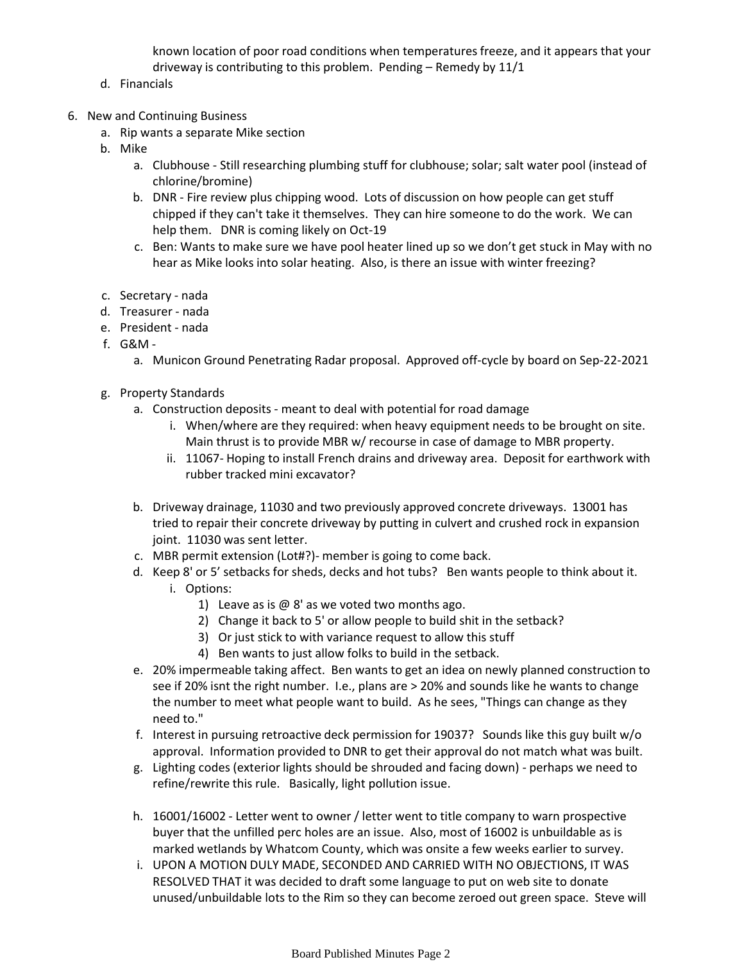known location of poor road conditions when temperatures freeze, and it appears that your driveway is contributing to this problem. Pending – Remedy by 11/1

- d. Financials
- 6. New and Continuing Business
	- a. Rip wants a separate Mike section
	- b. Mike
		- a. Clubhouse Still researching plumbing stuff for clubhouse; solar; salt water pool (instead of chlorine/bromine)
		- b. DNR Fire review plus chipping wood. Lots of discussion on how people can get stuff chipped if they can't take it themselves. They can hire someone to do the work. We can help them. DNR is coming likely on Oct-19
		- c. Ben: Wants to make sure we have pool heater lined up so we don't get stuck in May with no hear as Mike looks into solar heating. Also, is there an issue with winter freezing?
	- c. Secretary nada
	- d. Treasurer nada
	- e. President nada
	- G&M f.
		- a. Municon Ground Penetrating Radar proposal. Approved off-cycle by board on Sep-22-2021
	- g. Property Standards
		- Construction deposits meant to deal with potential for road damage a.
			- When/where are they required: when heavy equipment needs to be brought on site. i. Main thrust is to provide MBR w/ recourse in case of damage to MBR property.
			- ii. 11067- Hoping to install French drains and driveway area. Deposit for earthwork with rubber tracked mini excavator?
		- b. Driveway drainage, 11030 and two previously approved concrete driveways. 13001 has tried to repair their concrete driveway by putting in culvert and crushed rock in expansion joint. 11030 was sent letter.
		- c. MBR permit extension (Lot#?)- member is going to come back.
		- d. Keep 8' or 5' setbacks for sheds, decks and hot tubs? Ben wants people to think about it.
			- i. Options:
				- 1) Leave as is  $\omega$  8' as we voted two months ago.
				- 2) Change it back to 5' or allow people to build shit in the setback?
				- 3) Or just stick to with variance request to allow this stuff
				- 4) Ben wants to just allow folks to build in the setback.
		- 20% impermeable taking affect. Ben wants to get an idea on newly planned construction to e. see if 20% isnt the right number. I.e., plans are > 20% and sounds like he wants to change the number to meet what people want to build. As he sees, "Things can change as they need to."
		- f. Interest in pursuing retroactive deck permission for 19037? Sounds like this guy built w/o approval. Information provided to DNR to get their approval do not match what was built.
		- g. Lighting codes (exterior lights should be shrouded and facing down) perhaps we need to refine/rewrite this rule. Basically, light pollution issue.
		- h. 16001/16002 Letter went to owner / letter went to title company to warn prospective buyer that the unfilled perc holes are an issue. Also, most of 16002 is unbuildable as is marked wetlands by Whatcom County, which was onsite a few weeks earlier to survey.
		- i. UPON A MOTION DULY MADE, SECONDED AND CARRIED WITH NO OBJECTIONS, IT WAS RESOLVED THAT it was decided to draft some language to put on web site to donate unused/unbuildable lots to the Rim so they can become zeroed out green space. Steve will